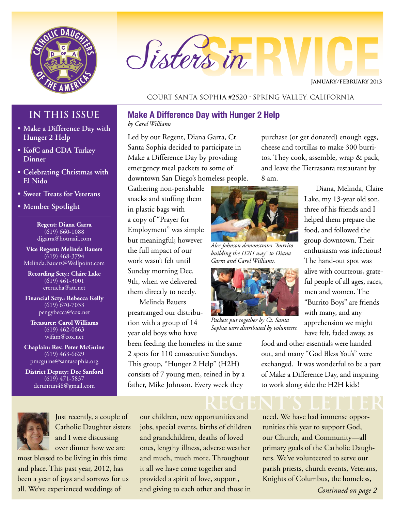

# Sisters in

**January/February 2013**

## Court Santa Sophia #2520 • Spring Valley, California

## **IN THIS ISSUE**

- **• Make a Difference Day with Hunger 2 Help**
- **• KofC and CDA Turkey Dinner**
- **• Celebrating Christmas with El Nido**
- **• Sweet Treats for Veterans**
- **• Member Spotlight**

**Regent: Diana Garra** (619) 660-1088 djgarra@hotmail.com

**Vice Regent: Melinda Bauers** (619) 468-3794 Melinda.Bauers@Wellpoint.com

**Recording Scty.: Claire Lake** (619) 461-3001 crerucha@att.net

**Financial Scty.: Rebecca Kelly** (619) 670-7033 pengybecca@cox.net

**Treasurer: Carol Williams** (619) 462-0663 wifam@cox.net

**Chaplain: Rev. Peter McGuine** (619) 463-6629 pmcguine@santasophia.org

**District Deputy: Dee Sanford** (619) 471-5837 derunrun48@gmail.com



Just recently, a couple of Catholic Daughter sisters and I were discussing over dinner how we are

most blessed to be living in this time and place. This past year, 2012, has been a year of joys and sorrows for us all. We've experienced weddings of

#### **Make A Difference Day with Hunger 2 Help**

*by Carol Williams*

Led by our Regent, Diana Garra, Ct. Santa Sophia decided to participate in Make a Difference Day by providing emergency meal packets to some of downtown San Diego's homeless people.

Gathering non-perishable snacks and stuffing them in plastic bags with a copy of "Prayer for Employment" was simple but meaningful; however the full impact of our work wasn't felt until Sunday morning Dec. 9th, when we delivered them directly to needy.

Melinda Bauers prearranged our distribution with a group of 14 year old boys who have

been feeding the homeless in the same 2 spots for 110 consecutive Sundays. This group, "Hunger 2 Help" (H2H) consists of 7 young men, reined in by a father, Mike Johnson. Every week they

our children, new opportunities and jobs, special events, births of children and grandchildren, deaths of loved ones, lengthy illness, adverse weather and much, much more. Throughout it all we have come together and provided a spirit of love, support, and giving to each other and those in

purchase (or get donated) enough eggs, cheese and tortillas to make 300 burritos. They cook, assemble, wrap & pack, and leave the Tierrasanta restaurant by 8 am.



*Alec Johnson demonstrates "burrito building the H2H way" to Diana Garra and Carol Williams.*



*Packets put together by Ct. Santa Sophia were distributed by volunteers.*

Diana, Melinda, Claire Lake, my 13-year old son, three of his friends and I helped them prepare the food, and followed the group downtown. Their enthusiasm was infectious! The hand-out spot was alive with courteous, grateful people of all ages, races, men and women. The "Burrito Boys" are friends with many, and any apprehension we might have felt, faded away, as

food and other essentials were handed out, and many "God Bless You's" were exchanged. It was wonderful to be a part of Make a Difference Day, and inspiring to work along side the H2H kids!

**REGENT's LETTER** need. We have had immense opportunities this year to support God, our Church, and Community—all primary goals of the Catholic Daughters. We've volunteered to serve our parish priests, church events, Veterans, Knights of Columbus, the homeless,

*Continued on page 2*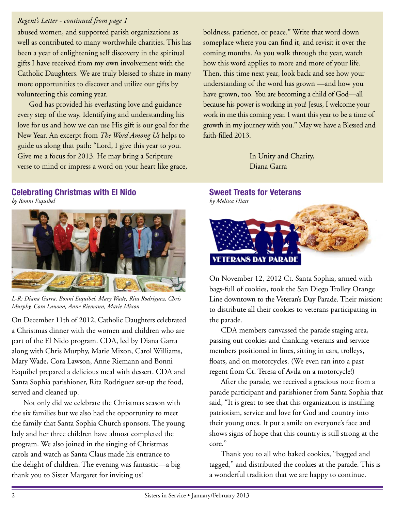## *Regent's Letter - continued from page 1*

abused women, and supported parish organizations as well as contributed to many worthwhile charities. This has been a year of enlightening self discovery in the spiritual gifts I have received from my own involvement with the Catholic Daughters. We are truly blessed to share in many more opportunities to discover and utilize our gifts by volunteering this coming year.

God has provided his everlasting love and guidance every step of the way. Identifying and understanding his love for us and how we can use His gift is our goal for the New Year. An excerpt from *The Word Among Us* helps to guide us along that path: "Lord, I give this year to you. Give me a focus for 2013. He may bring a Scripture verse to mind or impress a word on your heart like grace,

**Celebrating Christmas with El Nido** *by Bonni Esquibel*



*L-R: Diana Garra, Bonni Esquibel, Mary Wade, Rita Rodriguez, Chris Murphy, Cora Lawson, Anne Riemann, Marie Mixon*

On December 11th of 2012, Catholic Daughters celebrated a Christmas dinner with the women and children who are part of the El Nido program. CDA, led by Diana Garra along with Chris Murphy, Marie Mixon, Carol Williams, Mary Wade, Cora Lawson, Anne Riemann and Bonni Esquibel prepared a delicious meal with dessert. CDA and Santa Sophia parishioner, Rita Rodriguez set-up the food, served and cleaned up.

Not only did we celebrate the Christmas season with the six families but we also had the opportunity to meet the family that Santa Sophia Church sponsors. The young lady and her three children have almost completed the program. We also joined in the singing of Christmas carols and watch as Santa Claus made his entrance to the delight of children. The evening was fantastic—a big thank you to Sister Margaret for inviting us!

boldness, patience, or peace." Write that word down someplace where you can find it, and revisit it over the coming months. As you walk through the year, watch how this word applies to more and more of your life. Then, this time next year, look back and see how your understanding of the word has grown —and how you have grown, too. You are becoming a child of God—all because his power is working in you! Jesus, I welcome your work in me this coming year. I want this year to be a time of growth in my journey with you." May we have a Blessed and faith-filled 2013.

> In Unity and Charity, Diana Garra

## **Sweet Treats for Veterans**



On November 12, 2012 Ct. Santa Sophia, armed with bags-full of cookies, took the San Diego Trolley Orange Line downtown to the Veteran's Day Parade. Their mission: to distribute all their cookies to veterans participating in the parade.

CDA members canvassed the parade staging area, passing out cookies and thanking veterans and service members positioned in lines, sitting in cars, trolleys, floats, and on motorcycles. (We even ran into a past regent from Ct. Teresa of Avila on a motorcycle!)

After the parade, we received a gracious note from a parade participant and parishioner from Santa Sophia that said, "It is great to see that this organization is instilling patriotism, service and love for God and country into their young ones. It put a smile on everyone's face and shows signs of hope that this country is still strong at the core."

Thank you to all who baked cookies, "bagged and tagged," and distributed the cookies at the parade. This is a wonderful tradition that we are happy to continue.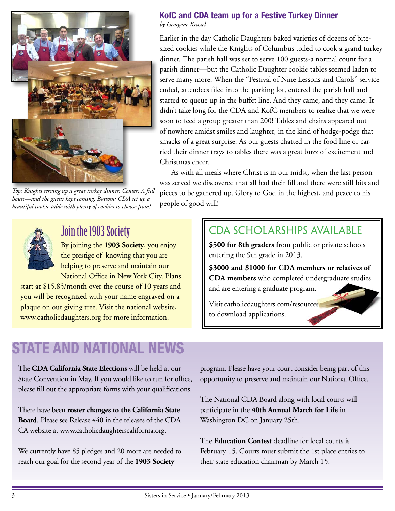

*Top: Knights serving up a great turkey dinner. Center: A full house—and the guests kept coming. Bottom: CDA set up a beautiful cookie table with plenty of cookies to choose from!*

## **KofC and CDA team up for a Festive Turkey Dinner**

*by Georgene Kruzel*

Earlier in the day Catholic Daughters baked varieties of dozens of bitesized cookies while the Knights of Columbus toiled to cook a grand turkey dinner. The parish hall was set to serve 100 guests-a normal count for a parish dinner—but the Catholic Daughter cookie tables seemed laden to serve many more. When the "Festival of Nine Lessons and Carols" service ended, attendees filed into the parking lot, entered the parish hall and started to queue up in the buffet line. And they came, and they came. It didn't take long for the CDA and KofC members to realize that we were soon to feed a group greater than 200! Tables and chairs appeared out of nowhere amidst smiles and laughter, in the kind of hodge-podge that smacks of a great surprise. As our guests chatted in the food line or carried their dinner trays to tables there was a great buzz of excitement and Christmas cheer.

As with all meals where Christ is in our midst, when the last person was served we discovered that all had their fill and there were still bits and pieces to be gathered up. Glory to God in the highest, and peace to his people of good will!



Join the 1903 Society

By joining the **1903 Society**, you enjoy the prestige of knowing that you are helping to preserve and maintain our National Office in New York City. Plans

start at \$15.85/month over the course of 10 years and you will be recognized with your name engraved on a plaque on our giving tree. Visit the national website, www.catholicdaughters.org for more information.

## CDA SCHOLARSHIPS AVAILABLE

**\$500 for 8th graders** from public or private schools entering the 9th grade in 2013.

**\$3000 and \$1000 for CDA members or relatives of CDA members** who completed undergraduate studies and are entering a graduate program.

Visit catholicdaughters.com/resources to download applications.

## **STATE AND NATIONAL NEWS**

The **CDA California State Elections** will be held at our State Convention in May. If you would like to run for office, please fill out the appropriate forms with your qualifications.

There have been **roster changes to the California State Board**. Please see Release #40 in the releases of the CDA CA website at www.catholicdaughterscalifornia.org.

We currently have 85 pledges and 20 more are needed to reach our goal for the second year of the **1903 Society**

program. Please have your court consider being part of this opportunity to preserve and maintain our National Office.

The National CDA Board along with local courts will participate in the **40th Annual March for Life** in Washington DC on January 25th.

The **Education Contest** deadline for local courts is February 15. Courts must submit the 1st place entries to their state education chairman by March 15.